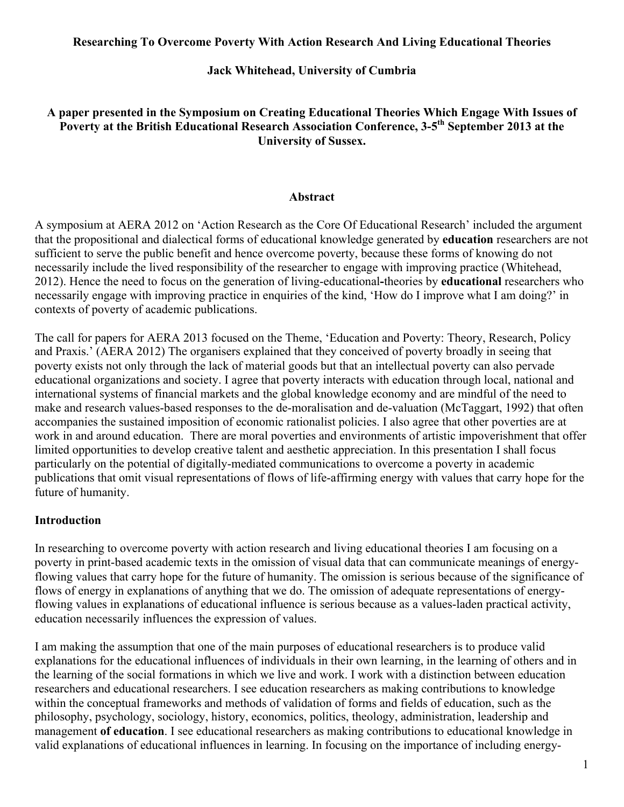#### **Researching To Overcome Poverty With Action Research And Living Educational Theories**

### **Jack Whitehead, University of Cumbria**

### **A paper presented in the Symposium on Creating Educational Theories Which Engage With Issues of**  Poverty at the British Educational Research Association Conference, 3-5<sup>th</sup> September 2013 at the **University of Sussex.**

#### **Abstract**

A symposium at AERA 2012 on 'Action Research as the Core Of Educational Research' included the argument that the propositional and dialectical forms of educational knowledge generated by **education** researchers are not sufficient to serve the public benefit and hence overcome poverty, because these forms of knowing do not necessarily include the lived responsibility of the researcher to engage with improving practice (Whitehead, 2012). Hence the need to focus on the generation of living-educational**-**theories by **educational** researchers who necessarily engage with improving practice in enquiries of the kind, 'How do I improve what I am doing?' in contexts of poverty of academic publications.

The call for papers for AERA 2013 focused on the Theme, 'Education and Poverty: Theory, Research, Policy and Praxis.' (AERA 2012) The organisers explained that they conceived of poverty broadly in seeing that poverty exists not only through the lack of material goods but that an intellectual poverty can also pervade educational organizations and society. I agree that poverty interacts with education through local, national and international systems of financial markets and the global knowledge economy and are mindful of the need to make and research values-based responses to the de-moralisation and de-valuation (McTaggart, 1992) that often accompanies the sustained imposition of economic rationalist policies. I also agree that other poverties are at work in and around education. There are moral poverties and environments of artistic impoverishment that offer limited opportunities to develop creative talent and aesthetic appreciation. In this presentation I shall focus particularly on the potential of digitally-mediated communications to overcome a poverty in academic publications that omit visual representations of flows of life-affirming energy with values that carry hope for the future of humanity.

#### **Introduction**

In researching to overcome poverty with action research and living educational theories I am focusing on a poverty in print-based academic texts in the omission of visual data that can communicate meanings of energyflowing values that carry hope for the future of humanity. The omission is serious because of the significance of flows of energy in explanations of anything that we do. The omission of adequate representations of energyflowing values in explanations of educational influence is serious because as a values-laden practical activity, education necessarily influences the expression of values.

I am making the assumption that one of the main purposes of educational researchers is to produce valid explanations for the educational influences of individuals in their own learning, in the learning of others and in the learning of the social formations in which we live and work. I work with a distinction between education researchers and educational researchers. I see education researchers as making contributions to knowledge within the conceptual frameworks and methods of validation of forms and fields of education, such as the philosophy, psychology, sociology, history, economics, politics, theology, administration, leadership and management **of education**. I see educational researchers as making contributions to educational knowledge in valid explanations of educational influences in learning. In focusing on the importance of including energy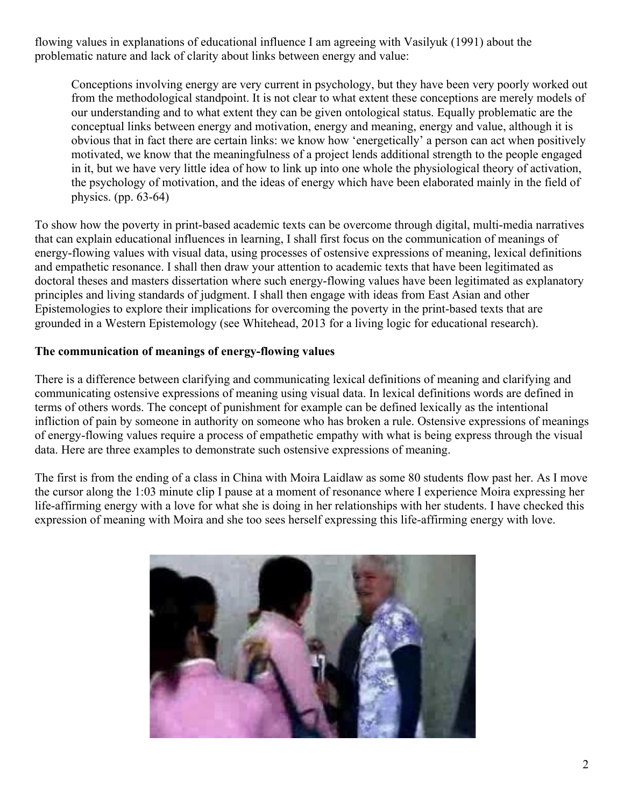flowing values in explanations of educational influence I am agreeing with Vasilyuk (1991) about the problematic nature and lack of clarity about links between energy and value:

Conceptions involving energy are very current in psychology, but they have been very poorly worked out from the methodological standpoint. It is not clear to what extent these conceptions are merely models of our understanding and to what extent they can be given ontological status. Equally problematic are the conceptual links between energy and motivation, energy and meaning, energy and value, although it is obvious that in fact there are certain links: we know how 'energetically' a person can act when positively motivated, we know that the meaningfulness of a project lends additional strength to the people engaged in it, but we have very little idea of how to link up into one whole the physiological theory of activation, the psychology of motivation, and the ideas of energy which have been elaborated mainly in the field of physics. (pp. 63-64)

To show how the poverty in print-based academic texts can be overcome through digital, multi-media narratives that can explain educational influences in learning, I shall first focus on the communication of meanings of energy-flowing values with visual data, using processes of ostensive expressions of meaning, lexical definitions and empathetic resonance. I shall then draw your attention to academic texts that have been legitimated as doctoral theses and masters dissertation where such energy-flowing values have been legitimated as explanatory principles and living standards of judgment. I shall then engage with ideas from East Asian and other Epistemologies to explore their implications for overcoming the poverty in the print-based texts that are grounded in a Western Epistemology (see Whitehead, 2013 for a living logic for educational research).

#### **The communication of meanings of energy-flowing values**

There is a difference between clarifying and communicating lexical definitions of meaning and clarifying and communicating ostensive expressions of meaning using visual data. In lexical definitions words are defined in terms of others words. The concept of punishment for example can be defined lexically as the intentional infliction of pain by someone in authority on someone who has broken a rule. Ostensive expressions of meanings of energy-flowing values require a process of empathetic empathy with what is being express through the visual data. Here are three examples to demonstrate such ostensive expressions of meaning.

The first is from the ending of a class in China with Moira Laidlaw as some 80 students flow past her. As I move the cursor along the 1:03 minute clip I pause at a moment of resonance where I experience Moira expressing her life-affirming energy with a love for what she is doing in her relationships with her students. I have checked this expression of meaning with Moira and she too sees herself expressing this life-affirming energy with love.

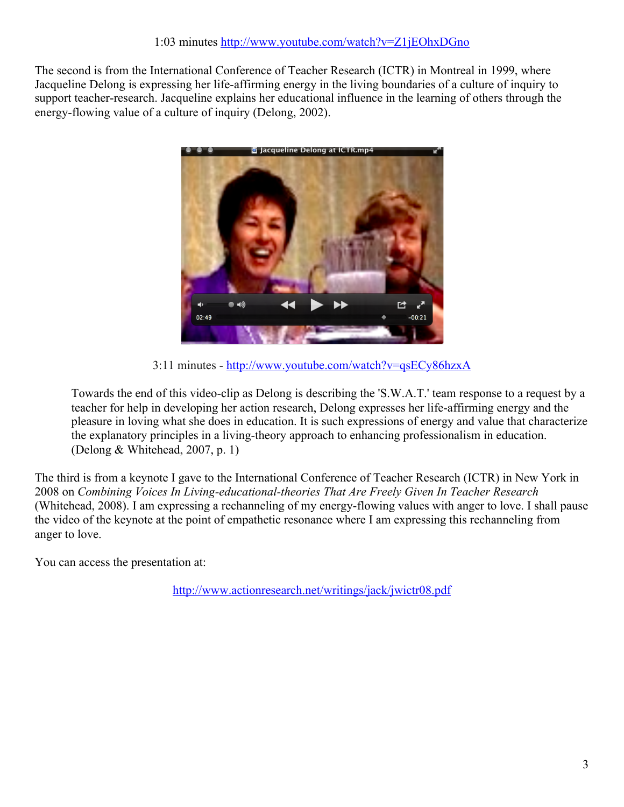The second is from the International Conference of Teacher Research (ICTR) in Montreal in 1999, where Jacqueline Delong is expressing her life-affirming energy in the living boundaries of a culture of inquiry to support teacher-research. Jacqueline explains her educational influence in the learning of others through the energy-flowing value of a culture of inquiry (Delong, 2002).



3:11 minutes - http://www.youtube.com/watch?v=qsECy86hzxA

Towards the end of this video-clip as Delong is describing the 'S.W.A.T.' team response to a request by a teacher for help in developing her action research, Delong expresses her life-affirming energy and the pleasure in loving what she does in education. It is such expressions of energy and value that characterize the explanatory principles in a living-theory approach to enhancing professionalism in education. (Delong & Whitehead, 2007, p. 1)

The third is from a keynote I gave to the International Conference of Teacher Research (ICTR) in New York in 2008 on *Combining Voices In Living-educational-theories That Are Freely Given In Teacher Research* (Whitehead, 2008). I am expressing a rechanneling of my energy-flowing values with anger to love. I shall pause the video of the keynote at the point of empathetic resonance where I am expressing this rechanneling from anger to love.

You can access the presentation at:

http://www.actionresearch.net/writings/jack/jwictr08.pdf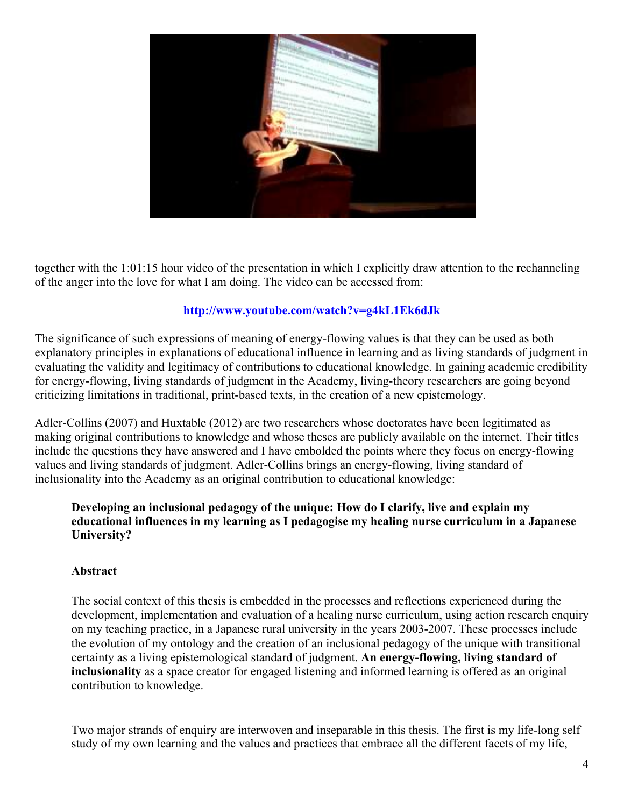

together with the 1:01:15 hour video of the presentation in which I explicitly draw attention to the rechanneling of the anger into the love for what I am doing. The video can be accessed from:

#### **http://www.youtube.com/watch?v=g4kL1Ek6dJk**

The significance of such expressions of meaning of energy-flowing values is that they can be used as both explanatory principles in explanations of educational influence in learning and as living standards of judgment in evaluating the validity and legitimacy of contributions to educational knowledge. In gaining academic credibility for energy-flowing, living standards of judgment in the Academy, living-theory researchers are going beyond criticizing limitations in traditional, print-based texts, in the creation of a new epistemology.

Adler-Collins (2007) and Huxtable (2012) are two researchers whose doctorates have been legitimated as making original contributions to knowledge and whose theses are publicly available on the internet. Their titles include the questions they have answered and I have embolded the points where they focus on energy-flowing values and living standards of judgment. Adler-Collins brings an energy-flowing, living standard of inclusionality into the Academy as an original contribution to educational knowledge:

#### **Developing an inclusional pedagogy of the unique: How do I clarify, live and explain my educational influences in my learning as I pedagogise my healing nurse curriculum in a Japanese University?**

#### **Abstract**

The social context of this thesis is embedded in the processes and reflections experienced during the development, implementation and evaluation of a healing nurse curriculum, using action research enquiry on my teaching practice, in a Japanese rural university in the years 2003-2007. These processes include the evolution of my ontology and the creation of an inclusional pedagogy of the unique with transitional certainty as a living epistemological standard of judgment. **An energy-flowing, living standard of inclusionality** as a space creator for engaged listening and informed learning is offered as an original contribution to knowledge.

Two major strands of enquiry are interwoven and inseparable in this thesis. The first is my life-long self study of my own learning and the values and practices that embrace all the different facets of my life,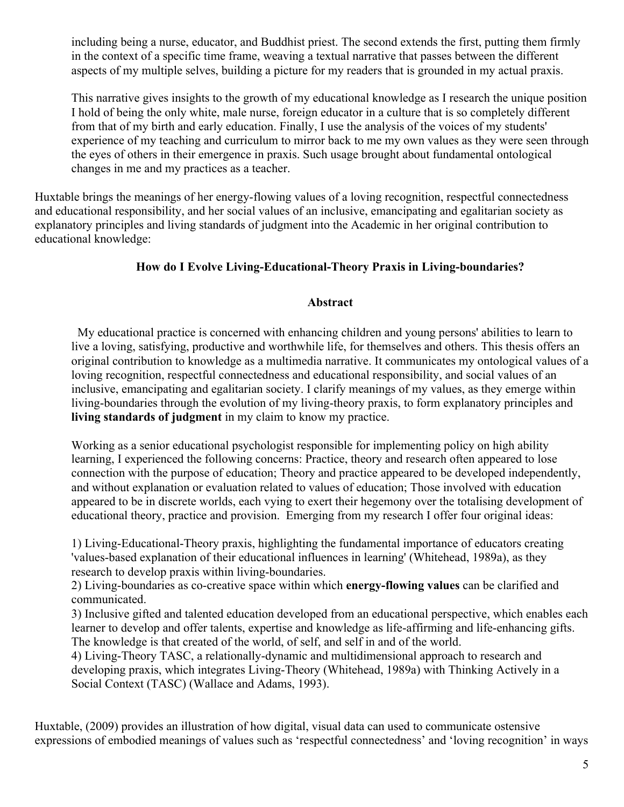including being a nurse, educator, and Buddhist priest. The second extends the first, putting them firmly in the context of a specific time frame, weaving a textual narrative that passes between the different aspects of my multiple selves, building a picture for my readers that is grounded in my actual praxis.

This narrative gives insights to the growth of my educational knowledge as I research the unique position I hold of being the only white, male nurse, foreign educator in a culture that is so completely different from that of my birth and early education. Finally, I use the analysis of the voices of my students' experience of my teaching and curriculum to mirror back to me my own values as they were seen through the eyes of others in their emergence in praxis. Such usage brought about fundamental ontological changes in me and my practices as a teacher.

Huxtable brings the meanings of her energy-flowing values of a loving recognition, respectful connectedness and educational responsibility, and her social values of an inclusive, emancipating and egalitarian society as explanatory principles and living standards of judgment into the Academic in her original contribution to educational knowledge:

# **How do I Evolve Living-Educational-Theory Praxis in Living-boundaries?**

#### **Abstract**

 My educational practice is concerned with enhancing children and young persons' abilities to learn to live a loving, satisfying, productive and worthwhile life, for themselves and others. This thesis offers an original contribution to knowledge as a multimedia narrative. It communicates my ontological values of a loving recognition, respectful connectedness and educational responsibility, and social values of an inclusive, emancipating and egalitarian society. I clarify meanings of my values, as they emerge within living-boundaries through the evolution of my living-theory praxis, to form explanatory principles and **living standards of judgment** in my claim to know my practice.

Working as a senior educational psychologist responsible for implementing policy on high ability learning, I experienced the following concerns: Practice, theory and research often appeared to lose connection with the purpose of education; Theory and practice appeared to be developed independently, and without explanation or evaluation related to values of education; Those involved with education appeared to be in discrete worlds, each vying to exert their hegemony over the totalising development of educational theory, practice and provision. Emerging from my research I offer four original ideas:

1) Living-Educational-Theory praxis, highlighting the fundamental importance of educators creating 'values-based explanation of their educational influences in learning' (Whitehead, 1989a), as they research to develop praxis within living-boundaries.

2) Living-boundaries as co-creative space within which **energy-flowing values** can be clarified and communicated.

3) Inclusive gifted and talented education developed from an educational perspective, which enables each learner to develop and offer talents, expertise and knowledge as life-affirming and life-enhancing gifts. The knowledge is that created of the world, of self, and self in and of the world.

4) Living-Theory TASC, a relationally-dynamic and multidimensional approach to research and developing praxis, which integrates Living-Theory (Whitehead, 1989a) with Thinking Actively in a Social Context (TASC) (Wallace and Adams, 1993).

Huxtable, (2009) provides an illustration of how digital, visual data can used to communicate ostensive expressions of embodied meanings of values such as 'respectful connectedness' and 'loving recognition' in ways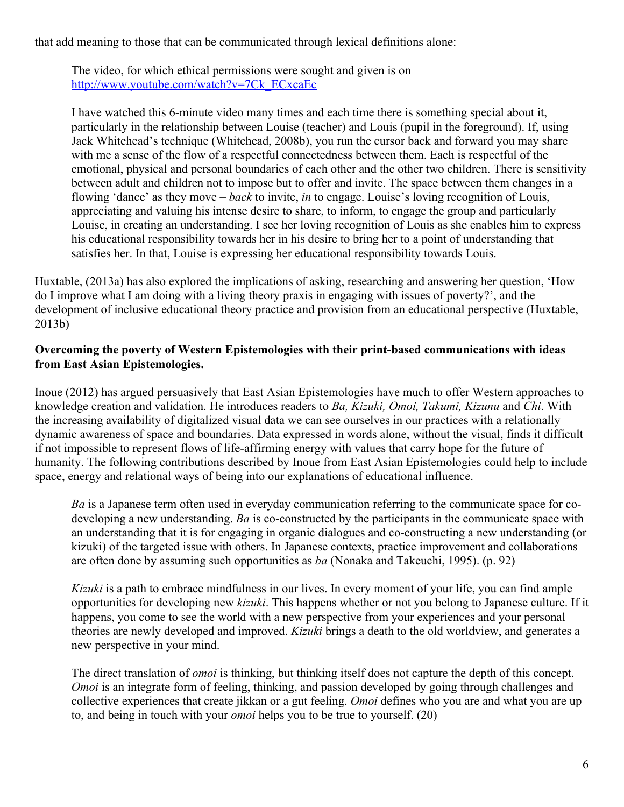that add meaning to those that can be communicated through lexical definitions alone:

The video, for which ethical permissions were sought and given is on http://www.youtube.com/watch?v=7Ck\_ECxcaEc

I have watched this 6-minute video many times and each time there is something special about it, particularly in the relationship between Louise (teacher) and Louis (pupil in the foreground). If, using Jack Whitehead's technique (Whitehead, 2008b), you run the cursor back and forward you may share with me a sense of the flow of a respectful connectedness between them. Each is respectful of the emotional, physical and personal boundaries of each other and the other two children. There is sensitivity between adult and children not to impose but to offer and invite. The space between them changes in a flowing 'dance' as they move – *back* to invite, *in* to engage. Louise's loving recognition of Louis, appreciating and valuing his intense desire to share, to inform, to engage the group and particularly Louise, in creating an understanding. I see her loving recognition of Louis as she enables him to express his educational responsibility towards her in his desire to bring her to a point of understanding that satisfies her. In that, Louise is expressing her educational responsibility towards Louis.

Huxtable, (2013a) has also explored the implications of asking, researching and answering her question, 'How do I improve what I am doing with a living theory praxis in engaging with issues of poverty?', and the development of inclusive educational theory practice and provision from an educational perspective (Huxtable, 2013b)

# **Overcoming the poverty of Western Epistemologies with their print-based communications with ideas from East Asian Epistemologies.**

Inoue (2012) has argued persuasively that East Asian Epistemologies have much to offer Western approaches to knowledge creation and validation. He introduces readers to *Ba, Kizuki, Omoi, Takumi, Kizunu* and *Chi*. With the increasing availability of digitalized visual data we can see ourselves in our practices with a relationally dynamic awareness of space and boundaries. Data expressed in words alone, without the visual, finds it difficult if not impossible to represent flows of life-affirming energy with values that carry hope for the future of humanity. The following contributions described by Inoue from East Asian Epistemologies could help to include space, energy and relational ways of being into our explanations of educational influence.

*Ba* is a Japanese term often used in everyday communication referring to the communicate space for codeveloping a new understanding. *Ba* is co-constructed by the participants in the communicate space with an understanding that it is for engaging in organic dialogues and co-constructing a new understanding (or kizuki) of the targeted issue with others. In Japanese contexts, practice improvement and collaborations are often done by assuming such opportunities as *ba* (Nonaka and Takeuchi, 1995). (p. 92)

*Kizuki* is a path to embrace mindfulness in our lives. In every moment of your life, you can find ample opportunities for developing new *kizuki*. This happens whether or not you belong to Japanese culture. If it happens, you come to see the world with a new perspective from your experiences and your personal theories are newly developed and improved. *Kizuki* brings a death to the old worldview, and generates a new perspective in your mind.

The direct translation of *omoi* is thinking, but thinking itself does not capture the depth of this concept. *Omoi* is an integrate form of feeling, thinking, and passion developed by going through challenges and collective experiences that create jikkan or a gut feeling. *Omoi* defines who you are and what you are up to, and being in touch with your *omoi* helps you to be true to yourself. (20)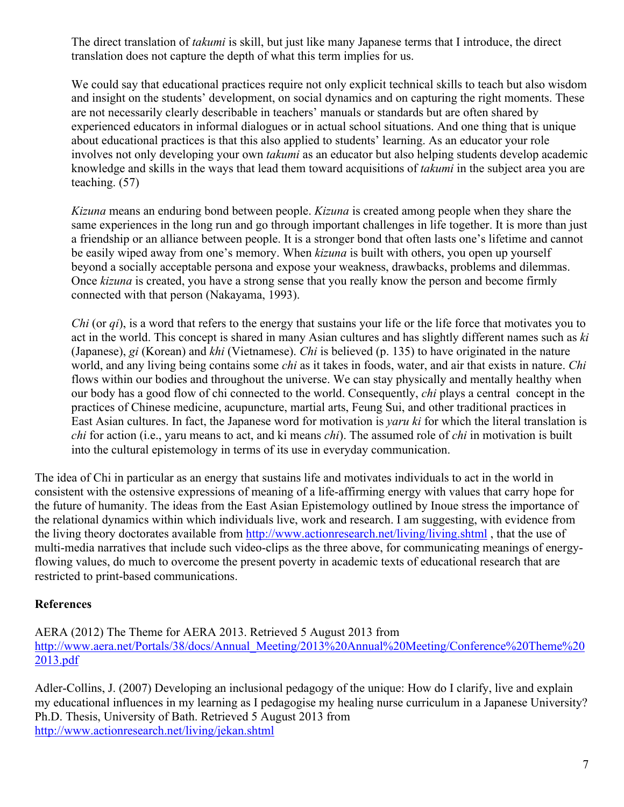The direct translation of *takumi* is skill, but just like many Japanese terms that I introduce, the direct translation does not capture the depth of what this term implies for us.

We could say that educational practices require not only explicit technical skills to teach but also wisdom and insight on the students' development, on social dynamics and on capturing the right moments. These are not necessarily clearly describable in teachers' manuals or standards but are often shared by experienced educators in informal dialogues or in actual school situations. And one thing that is unique about educational practices is that this also applied to students' learning. As an educator your role involves not only developing your own *takumi* as an educator but also helping students develop academic knowledge and skills in the ways that lead them toward acquisitions of *takumi* in the subject area you are teaching. (57)

*Kizuna* means an enduring bond between people. *Kizuna* is created among people when they share the same experiences in the long run and go through important challenges in life together. It is more than just a friendship or an alliance between people. It is a stronger bond that often lasts one's lifetime and cannot be easily wiped away from one's memory. When *kizuna* is built with others, you open up yourself beyond a socially acceptable persona and expose your weakness, drawbacks, problems and dilemmas. Once *kizuna* is created, you have a strong sense that you really know the person and become firmly connected with that person (Nakayama, 1993).

*Chi* (or *qi*), is a word that refers to the energy that sustains your life or the life force that motivates you to act in the world. This concept is shared in many Asian cultures and has slightly different names such as *ki*  (Japanese), *gi* (Korean) and *khi* (Vietnamese). *Chi* is believed (p. 135) to have originated in the nature world, and any living being contains some *chi* as it takes in foods, water, and air that exists in nature. *Chi*  flows within our bodies and throughout the universe. We can stay physically and mentally healthy when our body has a good flow of chi connected to the world. Consequently, *chi* plays a central concept in the practices of Chinese medicine, acupuncture, martial arts, Feung Sui, and other traditional practices in East Asian cultures. In fact, the Japanese word for motivation is *yaru ki* for which the literal translation is *chi* for action (i.e., yaru means to act, and ki means *chi*). The assumed role of *chi* in motivation is built into the cultural epistemology in terms of its use in everyday communication.

The idea of Chi in particular as an energy that sustains life and motivates individuals to act in the world in consistent with the ostensive expressions of meaning of a life-affirming energy with values that carry hope for the future of humanity. The ideas from the East Asian Epistemology outlined by Inoue stress the importance of the relational dynamics within which individuals live, work and research. I am suggesting, with evidence from the living theory doctorates available from http://www.actionresearch.net/living/living.shtml , that the use of multi-media narratives that include such video-clips as the three above, for communicating meanings of energyflowing values, do much to overcome the present poverty in academic texts of educational research that are restricted to print-based communications.

# **References**

AERA (2012) The Theme for AERA 2013. Retrieved 5 August 2013 from http://www.aera.net/Portals/38/docs/Annual\_Meeting/2013%20Annual%20Meeting/Conference%20Theme%20 2013.pdf

Adler-Collins, J. (2007) Developing an inclusional pedagogy of the unique: How do I clarify, live and explain my educational influences in my learning as I pedagogise my healing nurse curriculum in a Japanese University? Ph.D. Thesis, University of Bath. Retrieved 5 August 2013 from http://www.actionresearch.net/living/jekan.shtml